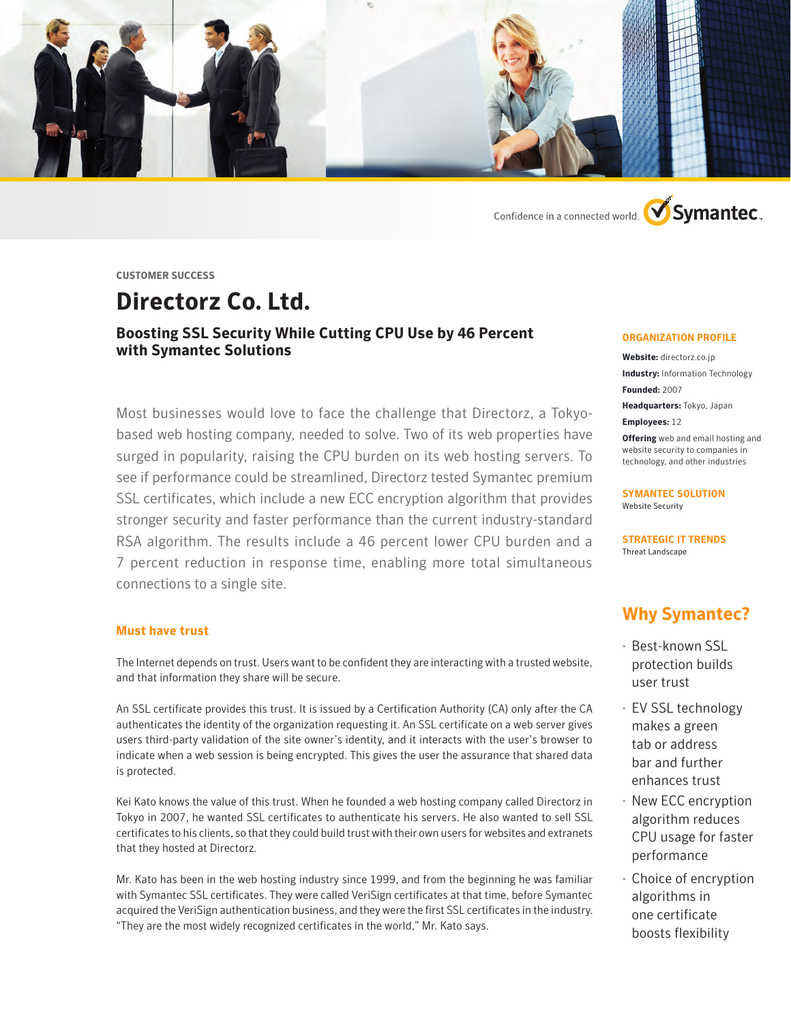

Confidence in a connected world. **V**Symantec.

**CUSTOMER SUCCESS**

# **Directorz Co. Ltd.**

### **Boosting SSL Security While Cutting CPU Use by 46 Percent with Symantec Solutions**

Most businesses would love to face the challenge that Directorz, a Tokyobased web hosting company, needed to solve. Two of its web properties have surged in popularity, raising the CPU burden on its web hosting servers. To see if performance could be streamlined, Directorz tested Symantec premium SSL certificates, which include a new ECC encryption algorithm that provides stronger security and faster performance than the current industry-standard RSA algorithm. The results include a 46 percent lower CPU burden and a 7 percent reduction in response time, enabling more total simultaneous connections to a single site.

### **Must have trust**

The Internet depends on trust. Users want to be confident they are interacting with a trusted website, and that information they share will be secure.

An SSL certificate provides this trust. It is issued by a Certification Authority (CA) only after the CA authenticates the identity of the organization requesting it. An SSL certificate on a web server gives users third-party validation of the site owner's identity, and it interacts with the user's browser to indicate when a web session is being encrypted. This gives the user the assurance that shared data is protected.

Kei Kato knows the value of this trust. When he founded a web hosting company called Directorz in Tokyo in 2007, he wanted SSL certificates to authenticate his servers. He also wanted to sell SSL certificates to his clients, so that they could build trust with their own users for websites and extranets that they hosted at Directorz.

Mr. Kato has been in the web hosting industry since 1999, and from the beginning he was familiar with Symantec SSL certificates. They were called VeriSign certificates at that time, before Symantec acquired the VeriSign authentication business, and they were the first SSL certificates in the industry. "They are the most widely recognized certificates in the world," Mr. Kato says.

#### **ORGANIZATION PROFILE**

**Website:** directorz.co.jp **Industry:** Information Technology **Founded:** 2007 **Headquarters:** Tokyo, Japan **Employees:** 12

**Offering** web and email hosting and website security to companies in technology, and other industries

**SYMANTEC SOLUTION**  Website Security

**STRATEGIC IT TRENDS** Threat Landscape

# **Why Symantec?**

- · Best-known SSL protection builds user trust
- · EV SSL technology makes a green tab or address bar and further enhances trust
- · New ECC encryption algorithm reduces CPU usage for faster performance
- · Choice of encryption algorithms in one certificate boosts flexibility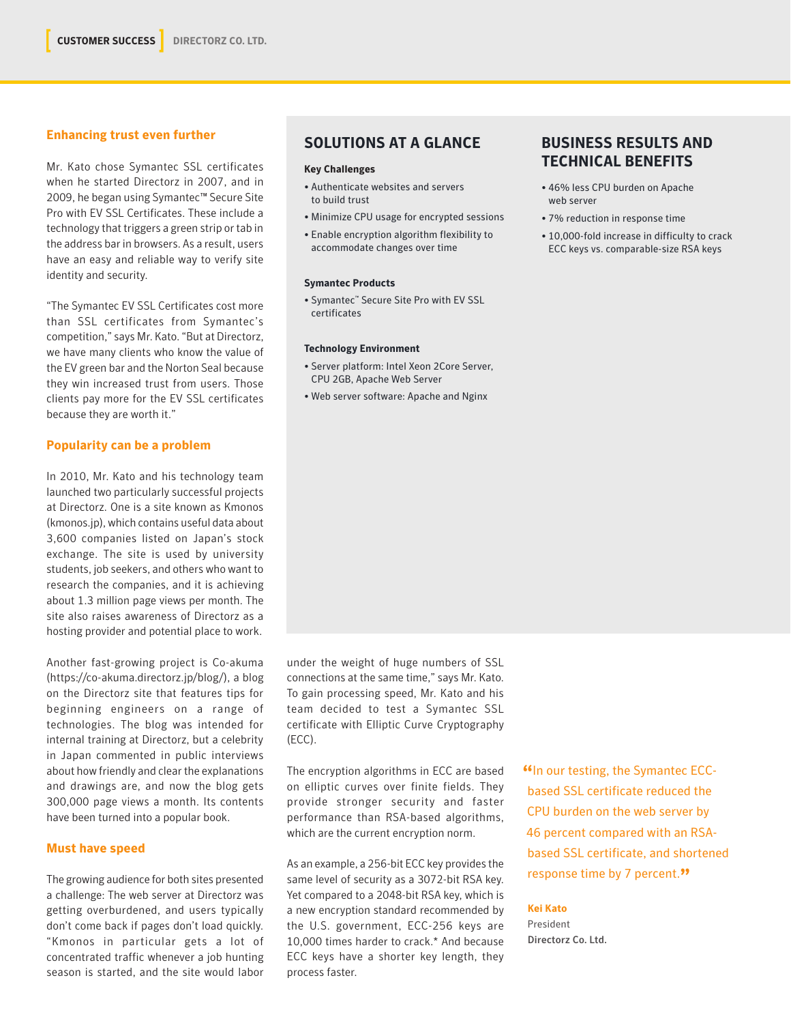### **Enhancing trust even further**

Mr. Kato chose Symantec SSL certificates when he started Directorz in 2007, and in 2009, he began using Symantec™ Secure Site Pro with EV SSL Certificates. These include a technology that triggers a green strip or tab in the address bar in browsers. As a result, users have an easy and reliable way to verify site identity and security.

"The Symantec EV SSL Certificates cost more than SSL certificates from Symantec's competition," says Mr. Kato. "But at Directorz, we have many clients who know the value of the EV green bar and the Norton Seal because they win increased trust from users. Those clients pay more for the EV SSL certificates because they are worth it."

### **Popularity can be a problem**

In 2010, Mr. Kato and his technology team launched two particularly successful projects at Directorz. One is a site known as Kmonos (kmonos.jp), which contains useful data about 3,600 companies listed on Japan's stock exchange. The site is used by university students, job seekers, and others who want to research the companies, and it is achieving about 1.3 million page views per month. The site also raises awareness of Directorz as a hosting provider and potential place to work.

Another fast-growing project is Co-akuma (https://co-akuma.directorz.jp/blog/), a blog on the Directorz site that features tips for beginning engineers on a range of technologies. The blog was intended for internal training at Directorz, but a celebrity in Japan commented in public interviews about how friendly and clear the explanations and drawings are, and now the blog gets 300,000 page views a month. Its contents have been turned into a popular book.

### **Must have speed**

The growing audience for both sites presented a challenge: The web server at Directorz was getting overburdened, and users typically don't come back if pages don't load quickly. "Kmonos in particular gets a lot of concentrated traffic whenever a job hunting season is started, and the site would labor

### **SOLUTIONS AT A GLANCE**

### **Key Challenges**

- Authenticate websites and servers to build trust
- Minimize CPU usage for encrypted sessions
- Enable encryption algorithm flexibility to accommodate changes over time

### **Symantec Products**

• Symantec™ Secure Site Pro with EV SSL certificates

#### **Technology Environment**

- Server platform: Intel Xeon 2Core Server, CPU 2GB, Apache Web Server
- Web server software: Apache and Nginx

## **BUSINESS RESULTS AND TECHNICAL BENEFITS**

- 46% less CPU burden on Apache web server
- 7% reduction in response time
- 10,000-fold increase in difficulty to crack ECC keys vs. comparable-size RSA keys

under the weight of huge numbers of SSL connections at the same time," says Mr. Kato. To gain processing speed, Mr. Kato and his team decided to test a Symantec SSL certificate with Elliptic Curve Cryptography (ECC).

The encryption algorithms in ECC are based on elliptic curves over finite fields. They provide stronger security and faster performance than RSA-based algorithms, which are the current encryption norm.

As an example, a 256-bit ECC key provides the same level of security as a 3072-bit RSA key. Yet compared to a 2048-bit RSA key, which is a new encryption standard recommended by the U.S. government, ECC-256 keys are 10,000 times harder to crack.\* And because ECC keys have a shorter key length, they process faster.

**"**In our testing, the Symantec ECCbased SSL certificate reduced the CPU burden on the web server by 46 percent compared with an RSAbased SSL certificate, and shortened response time by 7 percent.**"**

### **Kei Kato**

President Directorz Co. Ltd.